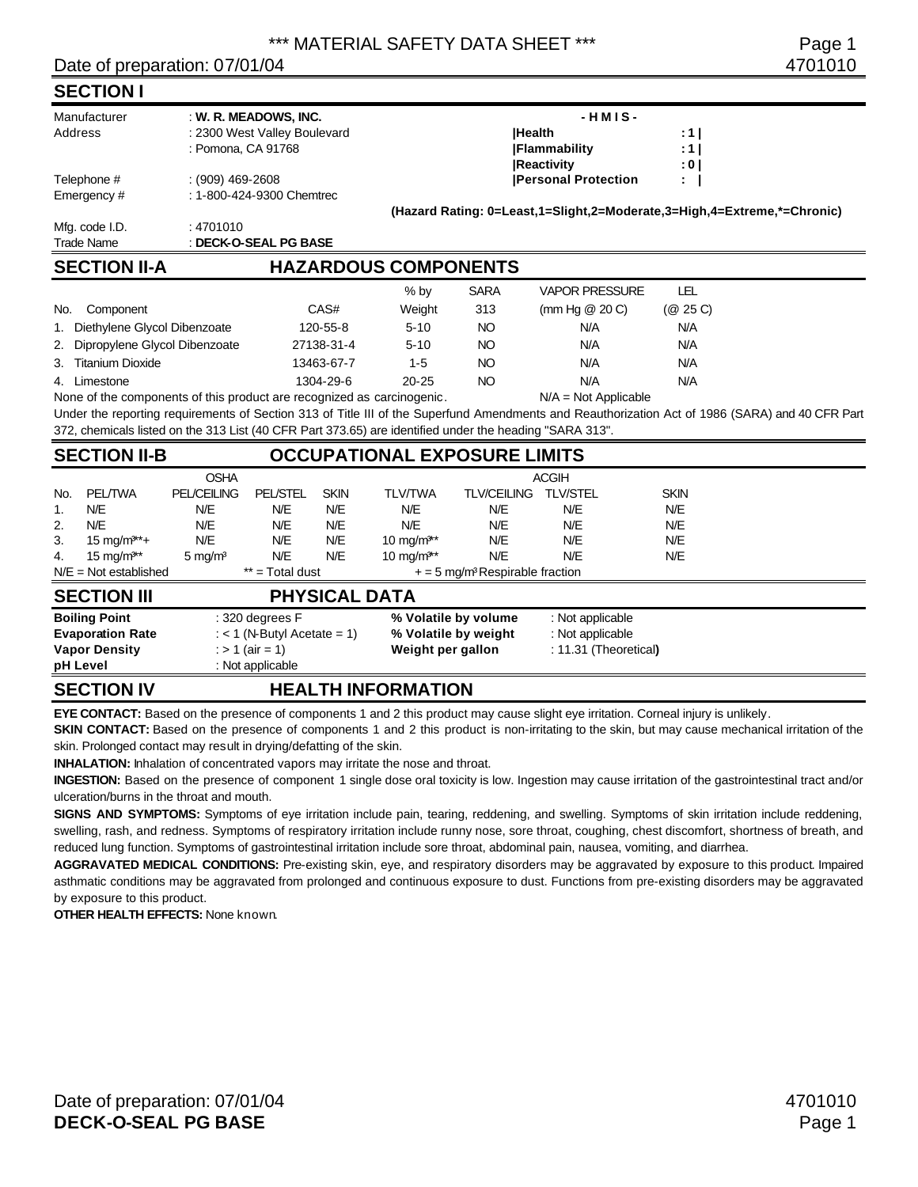### Date of preparation: 07/01/04 4701010

### **SECTION I**

| Manufacturer        | : W. R. MEADOWS, INC.        | $-HMIS -$ |             |                                                                         |          |  |  |  |
|---------------------|------------------------------|-----------|-------------|-------------------------------------------------------------------------|----------|--|--|--|
| Address             | : 2300 West Valley Boulevard |           |             | <b>IHealth</b>                                                          | :11      |  |  |  |
|                     | : Pomona, CA 91768           |           |             | <b>IFlammability</b>                                                    | : 1      |  |  |  |
|                     |                              |           |             | <b>Reactivity</b>                                                       | : 0      |  |  |  |
| Telephone #         | $(909)$ 469-2608             |           |             | <b>Personal Protection</b>                                              | ÷.       |  |  |  |
| Emergency #         | : 1-800-424-9300 Chemtrec    |           |             |                                                                         |          |  |  |  |
|                     |                              |           |             | (Hazard Rating: 0=Least,1=Slight,2=Moderate,3=High,4=Extreme,*=Chronic) |          |  |  |  |
| Mfg. code I.D.      | : 4701010                    |           |             |                                                                         |          |  |  |  |
| Trade Name          | : DECK-O-SEAL PG BASE        |           |             |                                                                         |          |  |  |  |
| <b>SECTION II-A</b> | <b>HAZARDOUS COMPONENTS</b>  |           |             |                                                                         |          |  |  |  |
|                     |                              | $%$ by    | <b>SARA</b> | <b>VAPOR PRESSURE</b>                                                   | LEL      |  |  |  |
| No.<br>Component    | CAS#                         | Weight    | 313         | (mm Hg $@$ 20 C)                                                        | (@ 25 C) |  |  |  |

| 1. Diethylene Glycol Dibenzoate  | 120-55-8   | $5-10$    | NΟ | N/A | N/A |
|----------------------------------|------------|-----------|----|-----|-----|
| 2. Dipropylene Glycol Dibenzoate | 27138-31-4 | $5-10$    | NΟ | N/A | N/A |
| 3. Titanium Dioxide              | 13463-67-7 | $1 - 5$   | NΟ | N/A | N/A |
| 4. Limestone                     | 1304-29-6  | $20 - 25$ | NΟ | N/A | N/A |

None of the components of this product are recognized as carcinogenic. N/A = Not Applicable

Under the reporting requirements of Section 313 of Title III of the Superfund Amendments and Reauthorization Act of 1986 (SARA) and 40 CFR Part 372, chemicals listed on the 313 List (40 CFR Part 373.65) are identified under the heading "SARA 313".

|     | <b>SECTION II-B</b>             |                    |                               |             |                        | <b>OCCUPATIONAL EXPOSURE LIMITS</b>           |                       |             |  |
|-----|---------------------------------|--------------------|-------------------------------|-------------|------------------------|-----------------------------------------------|-----------------------|-------------|--|
|     |                                 | <b>OSHA</b>        |                               |             |                        |                                               | <b>ACGIH</b>          |             |  |
| No. | <b>PEL/TWA</b>                  | <b>PEL/CEILING</b> | <b>PEL/STEL</b>               | <b>SKIN</b> | <b>TLV/TWA</b>         | <b>TLV/CEILING</b>                            | <b>TLV/STEL</b>       | <b>SKIN</b> |  |
| 1.  | N/E                             | N/E                | N/E                           | N/E         | N/E                    | N/E                                           | N/E                   | N/E         |  |
| 2.  | N/E                             | N/E                | N/E                           | N/E         | N/E                    | N/E                                           | N/E                   | N/E         |  |
| 3.  | $15 \text{ mg/m}$ **+           | N/E                | N/E                           | N/E         | 10 mg/m <sup>3**</sup> | N/E                                           | N/E                   | N/E         |  |
| 4.  | $15 \text{ mg/m}$ <sup>**</sup> | $5 \text{ mg/m}^3$ | N/E                           | N/E         | $10 \text{ ma/m}^{3*}$ | N/E                                           | N/E                   | N/E         |  |
|     | $N/E = Not established$         |                    | ** = Total dust               |             |                        | $+ = 5$ mg/m <sup>3</sup> Respirable fraction |                       |             |  |
|     | <b>SECTION III</b>              |                    |                               |             | <b>PHYSICAL DATA</b>   |                                               |                       |             |  |
|     | <b>Boiling Point</b>            |                    | $: 320$ degrees $F$           |             |                        | % Volatile by volume                          | : Not applicable      |             |  |
|     | <b>Evaporation Rate</b>         |                    | : $<$ 1 (N-Butyl Acetate = 1) |             |                        | % Volatile by weight                          | : Not applicable      |             |  |
|     | <b>Vapor Density</b>            |                    | : > 1 (air = 1)               |             | Weight per gallon      |                                               | : 11.31 (Theoretical) |             |  |
|     | pH Level                        |                    | : Not applicable              |             |                        |                                               |                       |             |  |
|     | <u>A = A = 1 A 1 I II I</u>     |                    | .                             |             | ----------------       |                                               |                       |             |  |

### **SECTION IV HEALTH INFORMATION**

**EYE CONTACT:** Based on the presence of components 1 and 2 this product may cause slight eye irritation. Corneal injury is unlikely.

**SKIN CONTACT:** Based on the presence of components 1 and 2 this product is non-irritating to the skin, but may cause mechanical irritation of the skin. Prolonged contact may result in drying/defatting of the skin.

**INHALATION:** Inhalation of concentrated vapors may irritate the nose and throat.

**INGESTION:** Based on the presence of component 1 single dose oral toxicity is low. Ingestion may cause irritation of the gastrointestinal tract and/or ulceration/burns in the throat and mouth.

**SIGNS AND SYMPTOMS:** Symptoms of eye irritation include pain, tearing, reddening, and swelling. Symptoms of skin irritation include reddening, swelling, rash, and redness. Symptoms of respiratory irritation include runny nose, sore throat, coughing, chest discomfort, shortness of breath, and reduced lung function. Symptoms of gastrointestinal irritation include sore throat, abdominal pain, nausea, vomiting, and diarrhea.

**AGGRAVATED MEDICAL CONDITIONS:** Pre-existing skin, eye, and respiratory disorders may be aggravated by exposure to this product. Impaired asthmatic conditions may be aggravated from prolonged and continuous exposure to dust. Functions from pre-existing disorders may be aggravated by exposure to this product.

**OTHER HEALTH EFFECTS: None known.**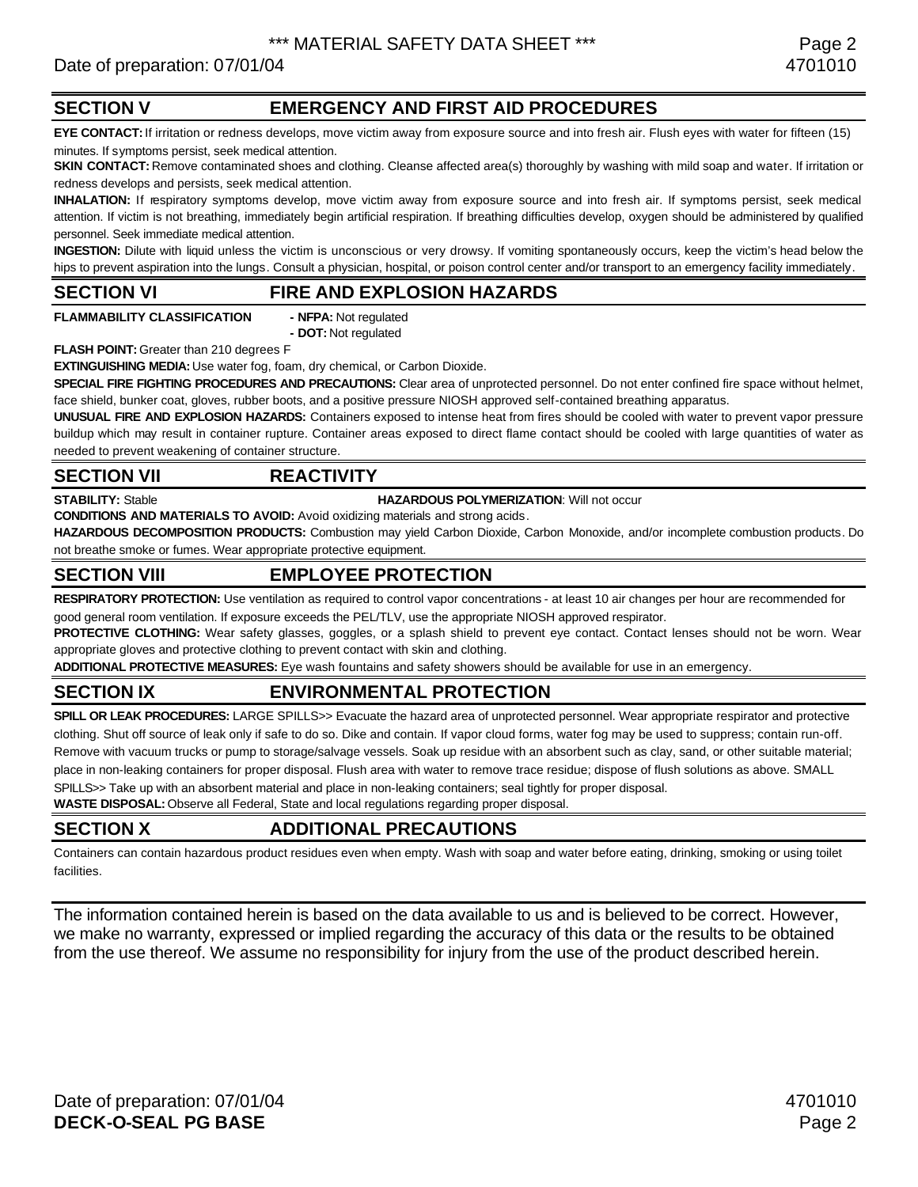# Date of preparation: 07/01/04 4701010

# **SECTION V EMERGENCY AND FIRST AID PROCEDURES**

**EYE CONTACT:** If irritation or redness develops, move victim away from exposure source and into fresh air. Flush eyes with water for fifteen (15) minutes. If symptoms persist, seek medical attention.

**SKIN CONTACT:** Remove contaminated shoes and clothing. Cleanse affected area(s) thoroughly by washing with mild soap and water. If irritation or redness develops and persists, seek medical attention.

**INHALATION:** If respiratory symptoms develop, move victim away from exposure source and into fresh air. If symptoms persist, seek medical attention. If victim is not breathing, immediately begin artificial respiration. If breathing difficulties develop, oxygen should be administered by qualified personnel. Seek immediate medical attention.

**INGESTION:** Dilute with liquid unless the victim is unconscious or very drowsy. If vomiting spontaneously occurs, keep the victim's head below the hips to prevent aspiration into the lungs. Consult a physician, hospital, or poison control center and/or transport to an emergency facility immediately.

### **SECTION VI FIRE AND EXPLOSION HAZARDS**

**FLAMMABILITY CLASSIFICATION - NFPA:** Not regulated

**- DOT:** Not regulated

**FLASH POINT:** Greater than 210 degrees F

**EXTINGUISHING MEDIA:** Use water fog, foam, dry chemical, or Carbon Dioxide.

**SPECIAL FIRE FIGHTING PROCEDURES AND PRECAUTIONS:** Clear area of unprotected personnel. Do not enter confined fire space without helmet, face shield, bunker coat, gloves, rubber boots, and a positive pressure NIOSH approved self-contained breathing apparatus.

**UNUSUAL FIRE AND EXPLOSION HAZARDS:** Containers exposed to intense heat from fires should be cooled with water to prevent vapor pressure buildup which may result in container rupture. Container areas exposed to direct flame contact should be cooled with large quantities of water as needed to prevent weakening of container structure.

### **SECTION VII REACTIVITY**

### **STABILITY:** Stable **HAZARDOUS POLYMERIZATION**: Will not occur

**CONDITIONS AND MATERIALS TO AVOID:** Avoid oxidizing materials and strong acids.

**HAZARDOUS DECOMPOSITION PRODUCTS:** Combustion may yield Carbon Dioxide, Carbon Monoxide, and/or incomplete combustion products. Do not breathe smoke or fumes. Wear appropriate protective equipment.

# **SECTION VIII EMPLOYEE PROTECTION**

**RESPIRATORY PROTECTION:** Use ventilation as required to control vapor concentrations - at least 10 air changes per hour are recommended for good general room ventilation. If exposure exceeds the PEL/TLV, use the appropriate NIOSH approved respirator.

PROTECTIVE CLOTHING: Wear safety glasses, goggles, or a splash shield to prevent eye contact. Contact lenses should not be worn. Wear appropriate gloves and protective clothing to prevent contact with skin and clothing.

**ADDITIONAL PROTECTIVE MEASURES:** Eye wash fountains and safety showers should be available for use in an emergency.

# **SECTION IX ENVIRONMENTAL PROTECTION**

**SPILL OR LEAK PROCEDURES:** LARGE SPILLS>> Evacuate the hazard area of unprotected personnel. Wear appropriate respirator and protective clothing. Shut off source of leak only if safe to do so. Dike and contain. If vapor cloud forms, water fog may be used to suppress; contain run-off. Remove with vacuum trucks or pump to storage/salvage vessels. Soak up residue with an absorbent such as clay, sand, or other suitable material; place in non-leaking containers for proper disposal. Flush area with water to remove trace residue; dispose of flush solutions as above. SMALL SPILLS>> Take up with an absorbent material and place in non-leaking containers; seal tightly for proper disposal.

**WASTE DISPOSAL:** Observe all Federal, State and local regulations regarding proper disposal.

# **SECTION X ADDITIONAL PRECAUTIONS**

Containers can contain hazardous product residues even when empty. Wash with soap and water before eating, drinking, smoking or using toilet facilities.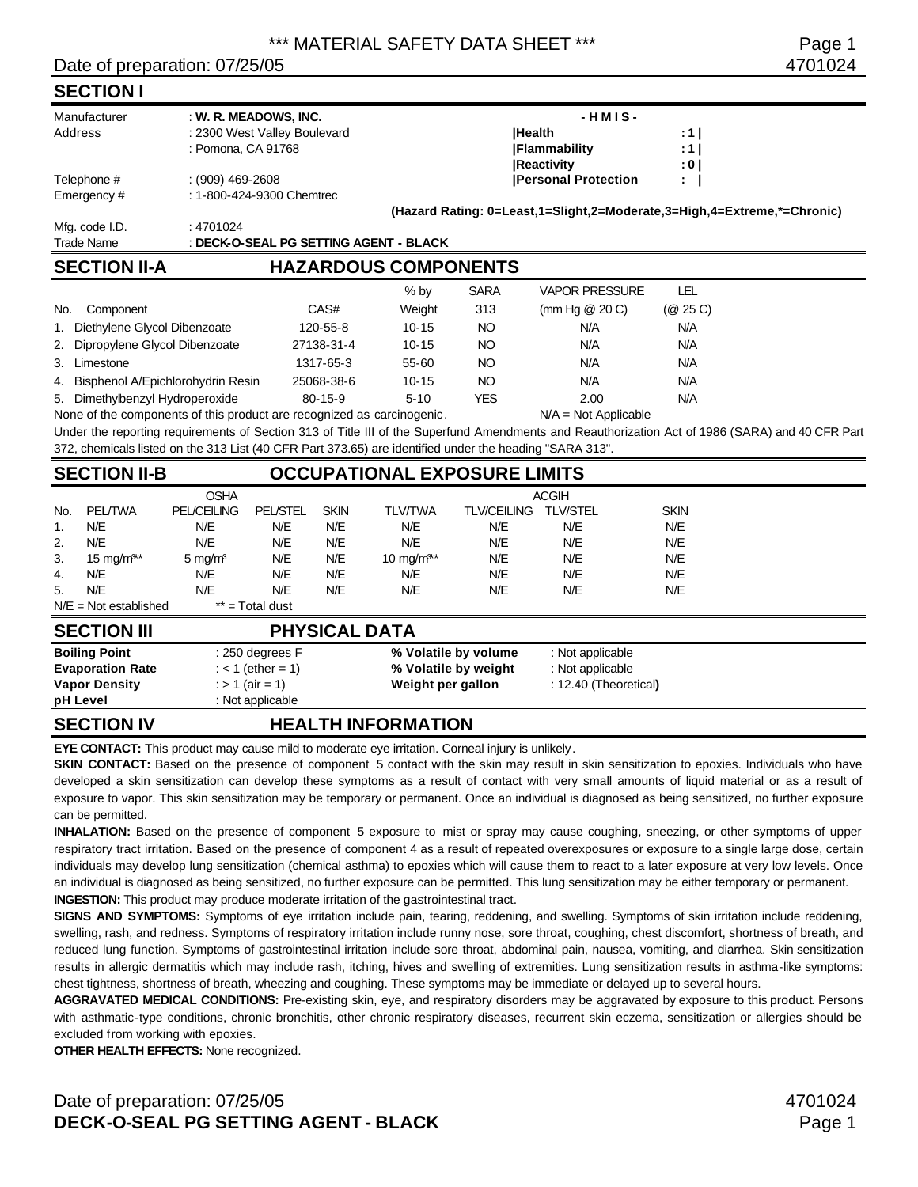### Date of preparation: 07/25/05 4701024

**SECTION I**

|     | Manufacturer                                                       |                                                                        | : W. R. MEADOWS, INC.        |                      |                                                                                                         |                    | $-HMIS-$                                                                |             |                                                                                                                                                 |
|-----|--------------------------------------------------------------------|------------------------------------------------------------------------|------------------------------|----------------------|---------------------------------------------------------------------------------------------------------|--------------------|-------------------------------------------------------------------------|-------------|-------------------------------------------------------------------------------------------------------------------------------------------------|
|     | Address                                                            |                                                                        | : 2300 West Valley Boulevard |                      |                                                                                                         | <b>Health</b>      |                                                                         | :1          |                                                                                                                                                 |
|     |                                                                    | : Pomona, CA 91768                                                     |                              |                      |                                                                                                         |                    | <b>Flammability</b>                                                     | : 1         |                                                                                                                                                 |
|     |                                                                    |                                                                        |                              |                      |                                                                                                         |                    | <b>Reactivity</b>                                                       | : 0 I       |                                                                                                                                                 |
|     | Telephone #                                                        | $: (909)$ 469-2608                                                     |                              |                      |                                                                                                         |                    | <b>Personal Protection</b>                                              |             |                                                                                                                                                 |
|     | Emergency #                                                        |                                                                        | : 1-800-424-9300 Chemtrec    |                      |                                                                                                         |                    |                                                                         |             |                                                                                                                                                 |
|     |                                                                    |                                                                        |                              |                      |                                                                                                         |                    | (Hazard Rating: 0=Least,1=Slight,2=Moderate,3=High,4=Extreme,*=Chronic) |             |                                                                                                                                                 |
|     | Mfg. code I.D.                                                     | : 4701024                                                              |                              |                      |                                                                                                         |                    |                                                                         |             |                                                                                                                                                 |
|     | <b>Trade Name</b>                                                  |                                                                        |                              |                      | : DECK-O-SEAL PG SETTING AGENT - BLACK                                                                  |                    |                                                                         |             |                                                                                                                                                 |
|     | <b>SECTION II-A</b>                                                |                                                                        |                              |                      | <b>HAZARDOUS COMPONENTS</b>                                                                             |                    |                                                                         |             |                                                                                                                                                 |
|     |                                                                    |                                                                        |                              |                      | $%$ by                                                                                                  | <b>SARA</b>        | <b>VAPOR PRESSURE</b>                                                   | <b>LEL</b>  |                                                                                                                                                 |
| No. | Component                                                          |                                                                        |                              | CAS#                 | Weight                                                                                                  | 313                | (mm Hg $@$ 20 C)                                                        | (Q25C)      |                                                                                                                                                 |
|     | 1. Diethylene Glycol Dibenzoate                                    |                                                                        |                              | 120-55-8             | $10 - 15$                                                                                               | NO <sub>1</sub>    | N/A                                                                     | N/A         |                                                                                                                                                 |
|     | 2. Dipropylene Glycol Dibenzoate                                   |                                                                        |                              | 27138-31-4           | $10 - 15$                                                                                               | NO <sub>1</sub>    | N/A                                                                     | N/A         |                                                                                                                                                 |
|     |                                                                    |                                                                        |                              | 1317-65-3            | 55-60                                                                                                   | <b>NO</b>          | N/A                                                                     | N/A         |                                                                                                                                                 |
|     | 3. Limestone<br>4. Bisphenol A/Epichlorohydrin Resin<br>25068-38-6 |                                                                        |                              |                      | $10 - 15$                                                                                               | <b>NO</b>          | N/A                                                                     | N/A         |                                                                                                                                                 |
|     | 5. Dimethylbenzyl Hydroperoxide                                    |                                                                        |                              | $80 - 15 - 9$        | $5 - 10$                                                                                                | <b>YES</b>         | 2.00                                                                    | N/A         |                                                                                                                                                 |
|     |                                                                    | None of the components of this product are recognized as carcinogenic. |                              |                      |                                                                                                         |                    | $N/A = Not Applicable$                                                  |             |                                                                                                                                                 |
|     |                                                                    |                                                                        |                              |                      |                                                                                                         |                    |                                                                         |             | Under the reporting requirements of Section 313 of Title III of the Superfund Amendments and Reauthorization Act of 1986 (SARA) and 40 CFR Part |
|     |                                                                    |                                                                        |                              |                      | 372, chemicals listed on the 313 List (40 CFR Part 373.65) are identified under the heading "SARA 313". |                    |                                                                         |             |                                                                                                                                                 |
|     | <b>SECTION II-B</b>                                                |                                                                        |                              |                      | <b>OCCUPATIONAL EXPOSURE LIMITS</b>                                                                     |                    |                                                                         |             |                                                                                                                                                 |
|     |                                                                    | <b>OSHA</b>                                                            |                              |                      |                                                                                                         |                    | <b>ACGIH</b>                                                            |             |                                                                                                                                                 |
| No. | <b>PEL/TWA</b>                                                     | <b>PEL/CEILING</b>                                                     | <b>PEL/STEL</b>              | <b>SKIN</b>          | <b>TLV/TWA</b>                                                                                          | <b>TLV/CEILING</b> | <b>TLV/STEL</b>                                                         | <b>SKIN</b> |                                                                                                                                                 |
| 1.  | N/E                                                                | N/E                                                                    | N/E                          | N/E                  | N/E                                                                                                     | N/E                | N/E                                                                     | N/E         |                                                                                                                                                 |
| 2.  | N/E                                                                | <b>N/E</b>                                                             | N/E                          | N/E                  | <b>N/E</b>                                                                                              | N/E                | N/E                                                                     | N/E         |                                                                                                                                                 |
| 3.  | 15 mg/ $m^{3*}$                                                    | $5 \text{ mg/m}^3$                                                     | N/E                          | N/E                  | 10 mg/ $m^{3**}$                                                                                        | N/E                | N/E                                                                     | N/E         |                                                                                                                                                 |
| 4.  | <b>N/E</b>                                                         | N/E                                                                    | <b>N/E</b>                   | N/E                  | N/E                                                                                                     | N/E                | N/E                                                                     | <b>N/E</b>  |                                                                                                                                                 |
| 5.  | N/E                                                                | N/E                                                                    | N/E                          | N/E                  | N/E                                                                                                     | N/E                | N/E                                                                     | N/E         |                                                                                                                                                 |
|     | $N/E = Not established$                                            |                                                                        | ** = Total dust              |                      |                                                                                                         |                    |                                                                         |             |                                                                                                                                                 |
|     | <b>SECTION III</b>                                                 |                                                                        |                              | <b>PHYSICAL DATA</b> |                                                                                                         |                    |                                                                         |             |                                                                                                                                                 |
|     | <b>Boiling Point</b>                                               |                                                                        | : 250 degrees F              |                      | % Volatile by volume                                                                                    |                    | : Not applicable                                                        |             |                                                                                                                                                 |

### **Boiling Point** : 250 degrees F **% Volatile by volume** : Not applicable **Evaporation Rate** : < 1 (ether = 1) **% Volatile by weight** : Not applicable **Vapor Density** : > 1 (air = 1) **Weight per gallon** : 12.40 (Theoretical**) pH Level** : Not applicable

# **SECTION IV HEALTH INFORMATION**

**EYE CONTACT:** This product may cause mild to moderate eye irritation. Corneal injury is unlikely.

**SKIN CONTACT:** Based on the presence of component 5 contact with the skin may result in skin sensitization to epoxies. Individuals who have developed a skin sensitization can develop these symptoms as a result of contact with very small amounts of liquid material or as a result of exposure to vapor. This skin sensitization may be temporary or permanent. Once an individual is diagnosed as being sensitized, no further exposure can be permitted.

**INHALATION:** Based on the presence of component 5 exposure to mist or spray may cause coughing, sneezing, or other symptoms of upper respiratory tract irritation. Based on the presence of component 4 as a result of repeated overexposures or exposure to a single large dose, certain individuals may develop lung sensitization (chemical asthma) to epoxies which will cause them to react to a later exposure at very low levels. Once an individual is diagnosed as being sensitized, no further exposure can be permitted. This lung sensitization may be either temporary or permanent. **INGESTION:** This product may produce moderate irritation of the gastrointestinal tract.

**SIGNS AND SYMPTOMS:** Symptoms of eye irritation include pain, tearing, reddening, and swelling. Symptoms of skin irritation include reddening, swelling, rash, and redness. Symptoms of respiratory irritation include runny nose, sore throat, coughing, chest discomfort, shortness of breath, and reduced lung function. Symptoms of gastrointestinal irritation include sore throat, abdominal pain, nausea, vomiting, and diarrhea. Skin sensitization results in allergic dermatitis which may include rash, itching, hives and swelling of extremities. Lung sensitization results in asthma-like symptoms: chest tightness, shortness of breath, wheezing and coughing. These symptoms may be immediate or delayed up to several hours.

**AGGRAVATED MEDICAL CONDITIONS:** Pre-existing skin, eye, and respiratory disorders may be aggravated by exposure to this product. Persons with asthmatic-type conditions, chronic bronchitis, other chronic respiratory diseases, recurrent skin eczema, sensitization or allergies should be excluded from working with epoxies.

**OTHER HEALTH EFFECTS:** None recognized.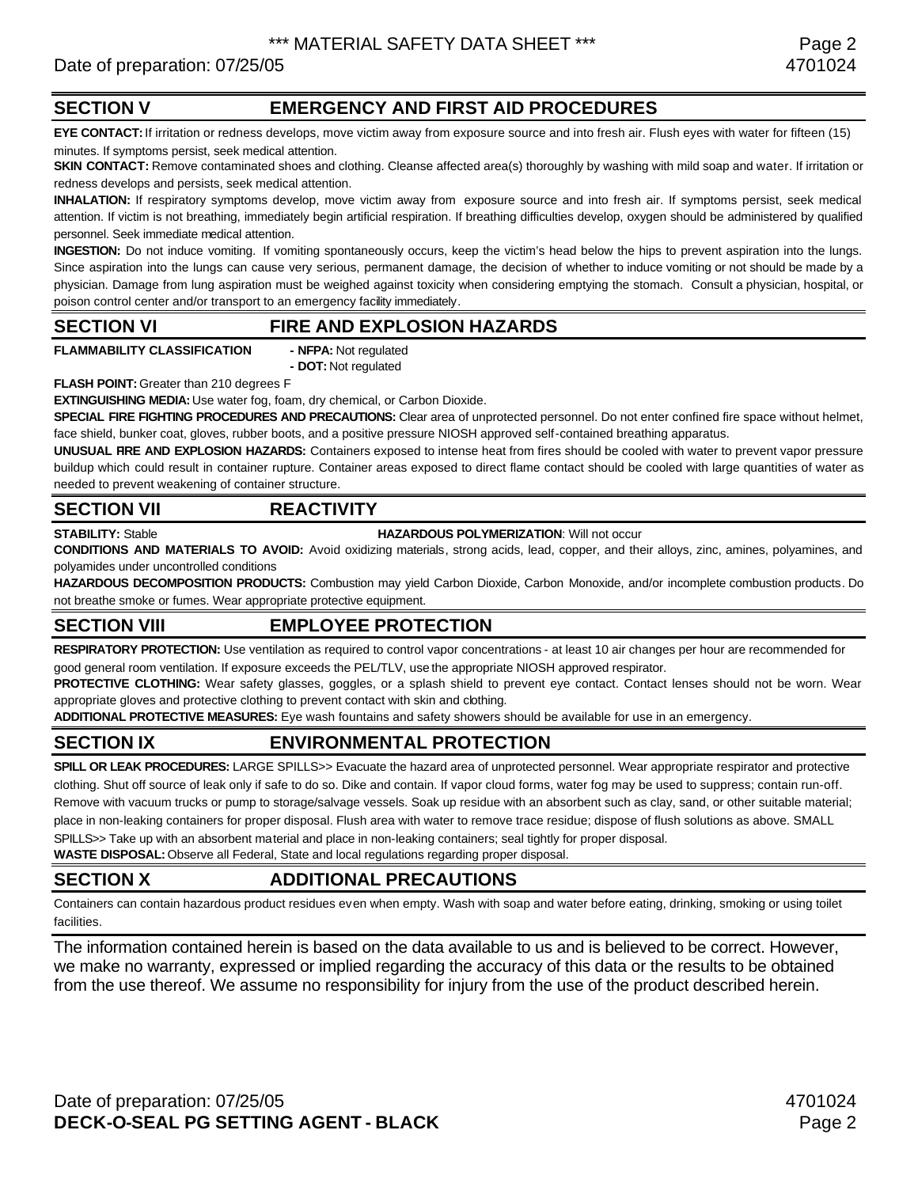# Date of preparation: 07/25/05 4701024

# **SECTION V EMERGENCY AND FIRST AID PROCEDURES**

**EYE CONTACT:** If irritation or redness develops, move victim away from exposure source and into fresh air. Flush eyes with water for fifteen (15) minutes. If symptoms persist, seek medical attention.

**SKIN CONTACT:** Remove contaminated shoes and clothing. Cleanse affected area(s) thoroughly by washing with mild soap and water. If irritation or redness develops and persists, seek medical attention.

**INHALATION:** If respiratory symptoms develop, move victim away from exposure source and into fresh air. If symptoms persist, seek medical attention. If victim is not breathing, immediately begin artificial respiration. If breathing difficulties develop, oxygen should be administered by qualified personnel. Seek immediate medical attention.

**INGESTION:** Do not induce vomiting. If vomiting spontaneously occurs, keep the victim's head below the hips to prevent aspiration into the lungs. Since aspiration into the lungs can cause very serious, permanent damage, the decision of whether to induce vomiting or not should be made by a physician. Damage from lung aspiration must be weighed against toxicity when considering emptying the stomach. Consult a physician, hospital, or poison control center and/or transport to an emergency facility immediately.

### **SECTION VI FIRE AND EXPLOSION HAZARDS**

**FLAMMABILITY CLASSIFICATION - NFPA:** Not regulated

**- DOT:** Not regulated

**FLASH POINT:** Greater than 210 degrees F

**EXTINGUISHING MEDIA:** Use water fog, foam, dry chemical, or Carbon Dioxide.

**SPECIAL FIRE FIGHTING PROCEDURES AND PRECAUTIONS:** Clear area of unprotected personnel. Do not enter confined fire space without helmet, face shield, bunker coat, gloves, rubber boots, and a positive pressure NIOSH approved self-contained breathing apparatus.

**UNUSUAL FIRE AND EXPLOSION HAZARDS:** Containers exposed to intense heat from fires should be cooled with water to prevent vapor pressure buildup which could result in container rupture. Container areas exposed to direct flame contact should be cooled with large quantities of water as needed to prevent weakening of container structure.

# **SECTION VII REACTIVITY**

**STABILITY:** Stable **HAZARDOUS POLYMERIZATION**: Will not occur

**CONDITIONS AND MATERIALS TO AVOID:** Avoid oxidizing materials, strong acids, lead, copper, and their alloys, zinc, amines, polyamines, and polyamides under uncontrolled conditions

**HAZARDOUS DECOMPOSITION PRODUCTS:** Combustion may yield Carbon Dioxide, Carbon Monoxide, and/or incomplete combustion products. Do not breathe smoke or fumes. Wear appropriate protective equipment.

# **SECTION VIII EMPLOYEE PROTECTION**

**RESPIRATORY PROTECTION:** Use ventilation as required to control vapor concentrations - at least 10 air changes per hour are recommended for good general room ventilation. If exposure exceeds the PEL/TLV, use the appropriate NIOSH approved respirator.

PROTECTIVE CLOTHING: Wear safety glasses, goggles, or a splash shield to prevent eye contact. Contact lenses should not be worn. Wear appropriate gloves and protective clothing to prevent contact with skin and clothing.

**ADDITIONAL PROTECTIVE MEASURES:** Eye wash fountains and safety showers should be available for use in an emergency.

# **SECTION IX ENVIRONMENTAL PROTECTION**

**SPILL OR LEAK PROCEDURES:** LARGE SPILLS>> Evacuate the hazard area of unprotected personnel. Wear appropriate respirator and protective clothing. Shut off source of leak only if safe to do so. Dike and contain. If vapor cloud forms, water fog may be used to suppress; contain run-off. Remove with vacuum trucks or pump to storage/salvage vessels. Soak up residue with an absorbent such as clay, sand, or other suitable material; place in non-leaking containers for proper disposal. Flush area with water to remove trace residue; dispose of flush solutions as above. SMALL SPILLS>> Take up with an absorbent material and place in non-leaking containers; seal tightly for proper disposal.

**WASTE DISPOSAL:** Observe all Federal, State and local regulations regarding proper disposal.

### **SECTION X ADDITIONAL PRECAUTIONS**

Containers can contain hazardous product residues even when empty. Wash with soap and water before eating, drinking, smoking or using toilet facilities.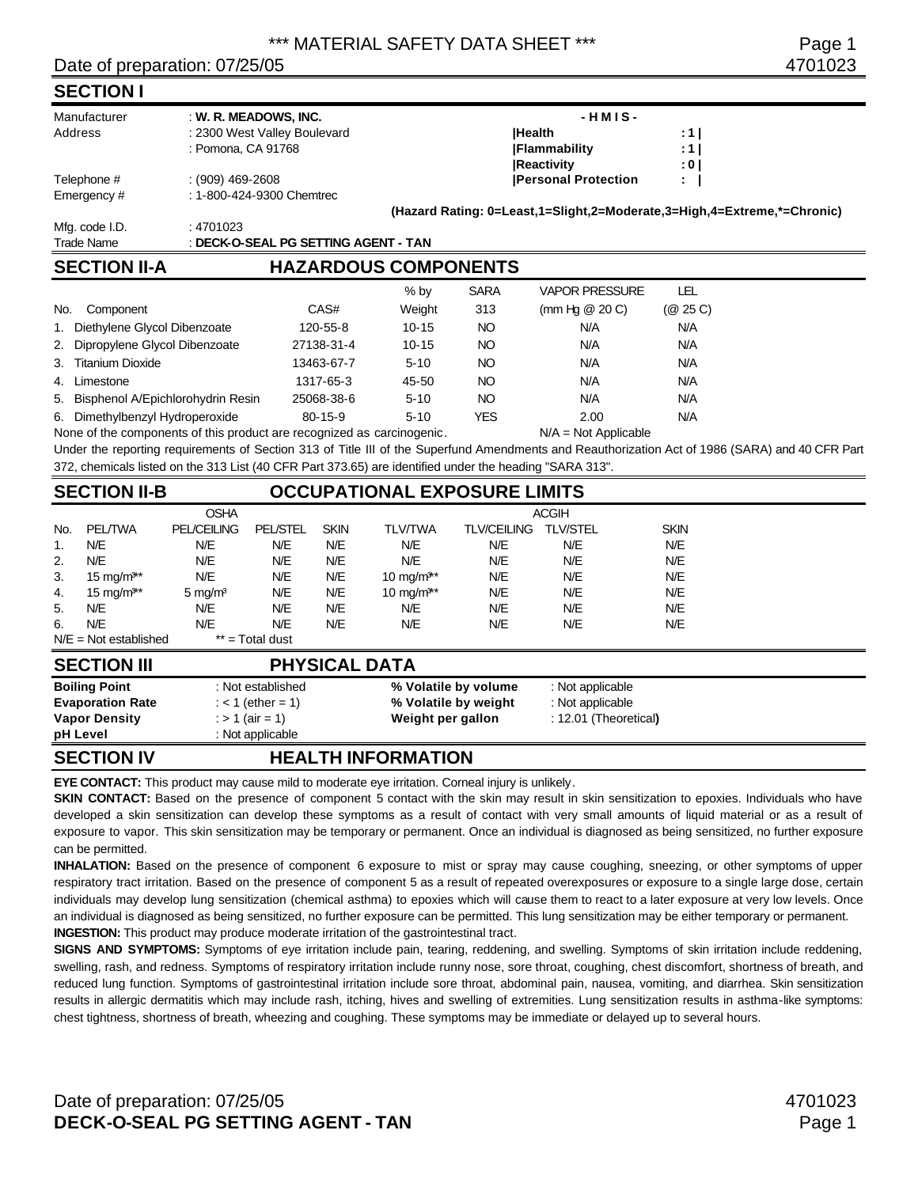### Date of preparation: 07/25/05 4701023

### **SECTION I**

| Manufacturer      | : W. R. MEADOWS, INC.                | $-HMIS-$                                                                |       |
|-------------------|--------------------------------------|-------------------------------------------------------------------------|-------|
| Address           | : 2300 West Valley Boulevard         | <b>IHealth</b>                                                          | :11   |
|                   | : Pomona, CA 91768                   | <b>IFlammability</b>                                                    | :11   |
|                   |                                      | <b>Reactivity</b>                                                       | : 0 I |
| Telephone #       | $(909)$ 469-2608                     | <b>Personal Protection</b>                                              | ÷.    |
| Emergency#        | : 1-800-424-9300 Chemtrec            |                                                                         |       |
|                   |                                      | (Hazard Rating: 0=Least,1=Slight,2=Moderate,3=High,4=Extreme,*=Chronic) |       |
| Mfg. code I.D.    | : 4701023                            |                                                                         |       |
| <b>Trade Name</b> | : DECK-O-SEAL PG SETTING AGENT - TAN |                                                                         |       |
|                   |                                      |                                                                         |       |

# **SECTION II-A HAZARDOUS COMPONENTS**

|                                                                       |               | $%$ by    | <b>SARA</b> | <b>VAPOR PRESSURE</b>        | LEL      |
|-----------------------------------------------------------------------|---------------|-----------|-------------|------------------------------|----------|
| No.<br>Component                                                      | CAS#          | Weight    | 313         | (mm Hg $@$ 20 C)             | (@ 25 C) |
| 1. Diethylene Glycol Dibenzoate                                       | 120-55-8      | $10 - 15$ | NO.         | N/A                          | N/A      |
| 2. Dipropylene Glycol Dibenzoate                                      | 27138-31-4    | $10 - 15$ | NO          | N/A                          | N/A      |
| 3. Titanium Dioxide                                                   | 13463-67-7    | $5 - 10$  | NO          | N/A                          | N/A      |
| Limestone<br>4.                                                       | 1317-65-3     | 45-50     | NO          | N/A                          | N/A      |
| 5. Bisphenol A/Epichlorohydrin Resin                                  | 25068-38-6    | $5 - 10$  | NO          | N/A                          | N/A      |
| 6. Dimethylbenzyl Hydroperoxide                                       | $80 - 15 - 9$ | $5 - 10$  | YES         | 2.00                         | N/A      |
| None of the components of this product are recognized as carcinogenic |               |           |             | $N/\Delta = N$ ot Annlicable |          |

None of the components of this product are recognized as carcinogenic. N/A = Not Applicable

Under the reporting requirements of Section 313 of Title III of the Superfund Amendments and Reauthorization Act of 1986 (SARA) and 40 CFR Part 372, chemicals listed on the 313 List (40 CFR Part 373.65) are identified under the heading "SARA 313".

# **SECTION II-B OCCUPATIONAL EXPOSURE LIMITS**

|     |                         | <b>OSHA</b>        |                   |             |                        |                    | <b>ACGIH</b>    |             |
|-----|-------------------------|--------------------|-------------------|-------------|------------------------|--------------------|-----------------|-------------|
| No. | <b>PEL/TWA</b>          | <b>PEL/CEILING</b> | <b>PEL/STEL</b>   | <b>SKIN</b> | <b>TLV/TWA</b>         | <b>TLV/CEILING</b> | <b>TLV/STEL</b> | <b>SKIN</b> |
| 1.  | N/E                     | N/E                | N/E               | N/E         | N/E                    | N/E                | N/E             | N/E         |
| 2.  | N/E                     | N/E                | N/E               | N/E         | N/E                    | N/E                | N/E             | N/E         |
| 3.  | $15 \text{ mg/m}$ **    | N/E                | N/E               | N/E         | 10 mg/m <sup>3**</sup> | N/E                | N/E             | N/E         |
| 4.  | 15 mg/m <sup>3**</sup>  | $5 \text{ mg/m}^3$ | N/E               | N/E         | 10 mg/m <sup>3**</sup> | N/E                | N/E             | N/E         |
| 5.  | N/E                     | N/E                | N/E               | N/E         | N/E                    | N/E                | N/E             | N/E         |
| 6.  | N/E                     | N/E                | N/E               | N/E         | N/E                    | N/E                | N/E             | N/E         |
|     | $N/E = Not established$ |                    | $**$ = Total dust |             |                        |                    |                 |             |

### **SECTION III PHYSICAL DATA Boiling Point** : Not established **% Volatile by volume** : Not applicable **Evaporation Rate** : < 1 (ether = 1) **% Volatile by weight** : Not applicable **Vapor Density** : > 1 (air = 1) **Weight per gallon** : 12.01 (Theoretical**) pH Level** : Not applicable

# **SECTION IV HEALTH INFORMATION**

**EYE CONTACT:** This product may cause mild to moderate eye irritation. Corneal injury is unlikely.

SKIN CONTACT: Based on the presence of component 5 contact with the skin may result in skin sensitization to epoxies. Individuals who have developed a skin sensitization can develop these symptoms as a result of contact with very small amounts of liquid material or as a result of exposure to vapor. This skin sensitization may be temporary or permanent. Once an individual is diagnosed as being sensitized, no further exposure can be permitted.

**INHALATION:** Based on the presence of component 6 exposure to mist or spray may cause coughing, sneezing, or other symptoms of upper respiratory tract irritation. Based on the presence of component 5 as a result of repeated overexposures or exposure to a single large dose, certain individuals may develop lung sensitization (chemical asthma) to epoxies which will cause them to react to a later exposure at very low levels. Once an individual is diagnosed as being sensitized, no further exposure can be permitted. This lung sensitization may be either temporary or permanent. **INGESTION:** This product may produce moderate irritation of the gastrointestinal tract.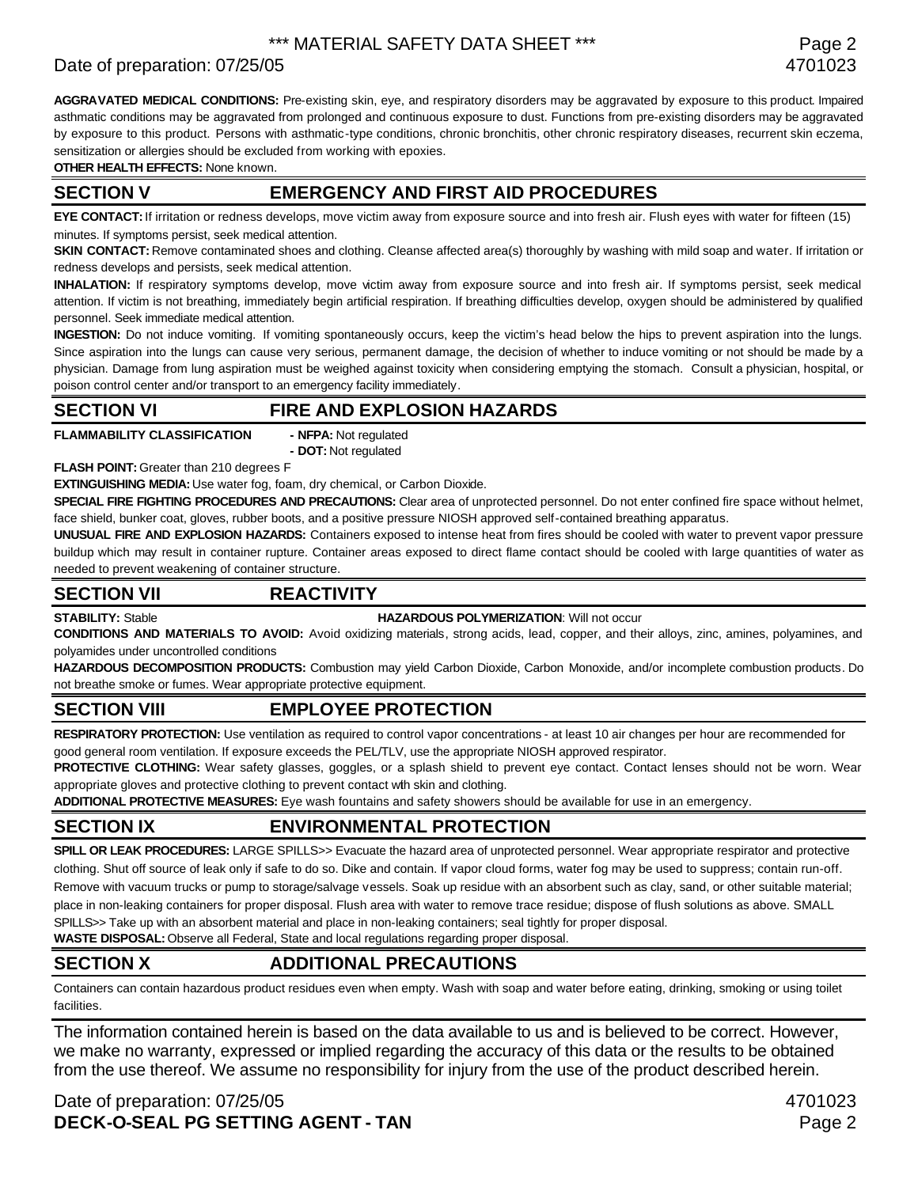# Date of preparation: 07/25/05 4701023

**AGGRAVATED MEDICAL CONDITIONS:** Pre-existing skin, eye, and respiratory disorders may be aggravated by exposure to this product. Impaired asthmatic conditions may be aggravated from prolonged and continuous exposure to dust. Functions from pre-existing disorders may be aggravated by exposure to this product. Persons with asthmatic-type conditions, chronic bronchitis, other chronic respiratory diseases, recurrent skin eczema, sensitization or allergies should be excluded from working with epoxies.

**OTHER HEALTH EFFECTS:** None known.

### **SECTION V EMERGENCY AND FIRST AID PROCEDURES**

**EYE CONTACT:** If irritation or redness develops, move victim away from exposure source and into fresh air. Flush eyes with water for fifteen (15) minutes. If symptoms persist, seek medical attention.

**SKIN CONTACT:** Remove contaminated shoes and clothing. Cleanse affected area(s) thoroughly by washing with mild soap and water. If irritation or redness develops and persists, seek medical attention.

**INHALATION:** If respiratory symptoms develop, move victim away from exposure source and into fresh air. If symptoms persist, seek medical attention. If victim is not breathing, immediately begin artificial respiration. If breathing difficulties develop, oxygen should be administered by qualified personnel. Seek immediate medical attention.

**INGESTION:** Do not induce vomiting. If vomiting spontaneously occurs, keep the victim's head below the hips to prevent aspiration into the lungs. Since aspiration into the lungs can cause very serious, permanent damage, the decision of whether to induce vomiting or not should be made by a physician. Damage from lung aspiration must be weighed against toxicity when considering emptying the stomach. Consult a physician, hospital, or poison control center and/or transport to an emergency facility immediately.

### **SECTION VI FIRE AND EXPLOSION HAZARDS**

**FLAMMABILITY CLASSIFICATION - NFPA:** Not regulated

**- DOT:** Not regulated

**FLASH POINT:** Greater than 210 degrees F

**EXTINGUISHING MEDIA:** Use water fog, foam, dry chemical, or Carbon Dioxide.

**SPECIAL FIRE FIGHTING PROCEDURES AND PRECAUTIONS:** Clear area of unprotected personnel. Do not enter confined fire space without helmet, face shield, bunker coat, gloves, rubber boots, and a positive pressure NIOSH approved self-contained breathing apparatus.

**UNUSUAL FIRE AND EXPLOSION HAZARDS:** Containers exposed to intense heat from fires should be cooled with water to prevent vapor pressure buildup which may result in container rupture. Container areas exposed to direct flame contact should be cooled with large quantities of water as needed to prevent weakening of container structure.

### **SECTION VII REACTIVITY**

**STABILITY:** Stable **HAZARDOUS POLYMERIZATION**: Will not occur

**CONDITIONS AND MATERIALS TO AVOID:** Avoid oxidizing materials, strong acids, lead, copper, and their alloys, zinc, amines, polyamines, and polyamides under uncontrolled conditions

**HAZARDOUS DECOMPOSITION PRODUCTS:** Combustion may yield Carbon Dioxide, Carbon Monoxide, and/or incomplete combustion products. Do not breathe smoke or fumes. Wear appropriate protective equipment.

# **SECTION VIII EMPLOYEE PROTECTION**

**RESPIRATORY PROTECTION:** Use ventilation as required to control vapor concentrations - at least 10 air changes per hour are recommended for good general room ventilation. If exposure exceeds the PEL/TLV, use the appropriate NIOSH approved respirator.

PROTECTIVE CLOTHING: Wear safety glasses, goggles, or a splash shield to prevent eye contact. Contact lenses should not be worn. Wear appropriate gloves and protective clothing to prevent contact with skin and clothing.

**ADDITIONAL PROTECTIVE MEASURES:** Eye wash fountains and safety showers should be available for use in an emergency.

# **SECTION IX ENVIRONMENTAL PROTECTION**

**SPILL OR LEAK PROCEDURES:** LARGE SPILLS>> Evacuate the hazard area of unprotected personnel. Wear appropriate respirator and protective clothing. Shut off source of leak only if safe to do so. Dike and contain. If vapor cloud forms, water fog may be used to suppress; contain run-off. Remove with vacuum trucks or pump to storage/salvage vessels. Soak up residue with an absorbent such as clay, sand, or other suitable material; place in non-leaking containers for proper disposal. Flush area with water to remove trace residue; dispose of flush solutions as above. SMALL SPILLS>> Take up with an absorbent material and place in non-leaking containers; seal tightly for proper disposal.

**WASTE DISPOSAL:** Observe all Federal, State and local regulations regarding proper disposal.

# **SECTION X ADDITIONAL PRECAUTIONS**

Containers can contain hazardous product residues even when empty. Wash with soap and water before eating, drinking, smoking or using toilet facilities.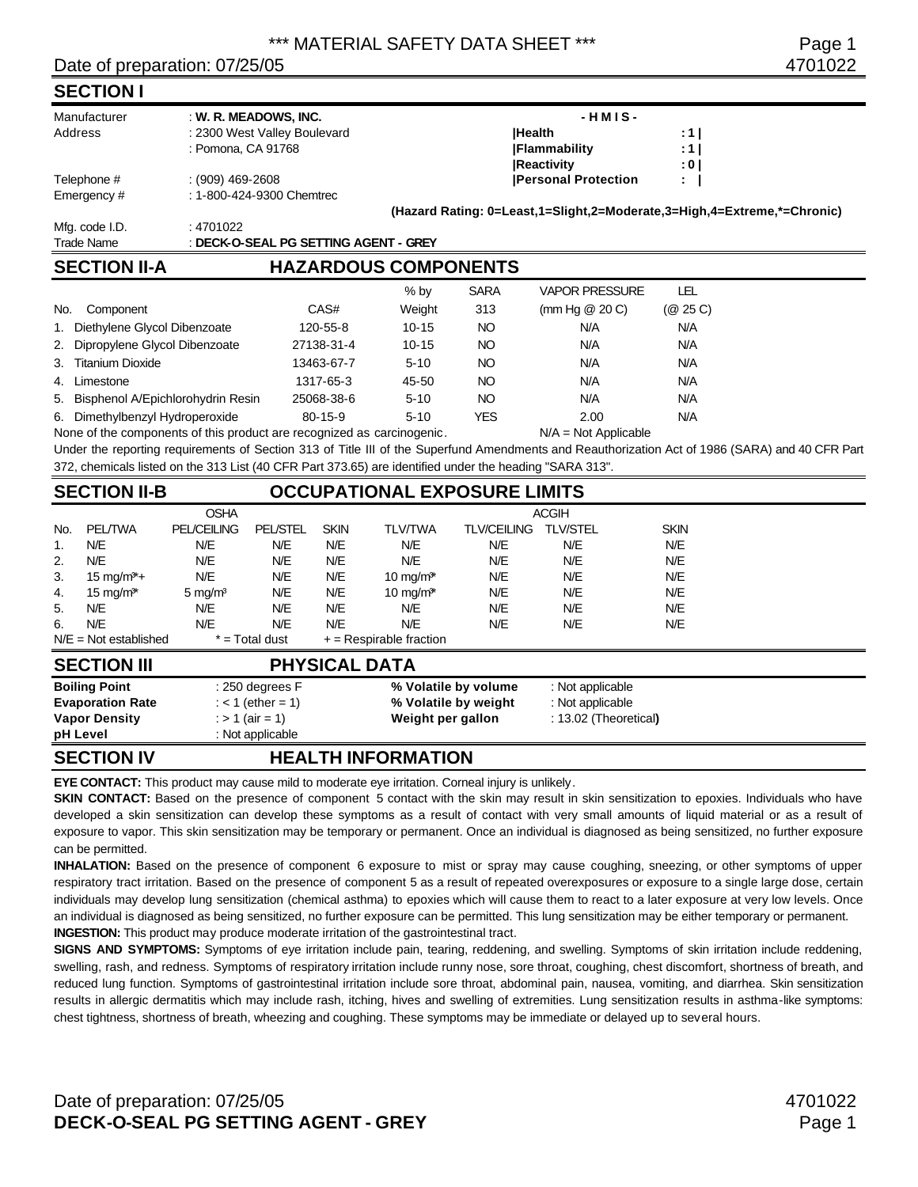### Date of preparation: 07/25/05 4701022

### **SECTION I**

| Manufacturer                                                                                            | : W. R. MEADOWS, INC.                              |                                       |           |                 | $-HMIS -$                                                               |                                |                                                                                                                                                 |  |  |
|---------------------------------------------------------------------------------------------------------|----------------------------------------------------|---------------------------------------|-----------|-----------------|-------------------------------------------------------------------------|--------------------------------|-------------------------------------------------------------------------------------------------------------------------------------------------|--|--|
| Address                                                                                                 | : 2300 West Valley Boulevard<br>: Pomona, CA 91768 |                                       |           |                 | <b>IHealth</b><br><b>Flammability</b>                                   | $: 1 \mid$<br>: 1 <sub>1</sub> |                                                                                                                                                 |  |  |
|                                                                                                         |                                                    |                                       |           |                 | <b>Reactivity</b>                                                       | : 0 l                          |                                                                                                                                                 |  |  |
| Telephone #                                                                                             | $(909)$ 469-2608                                   |                                       |           |                 | <b>Personal Protection</b>                                              | t.                             |                                                                                                                                                 |  |  |
| Emergency#                                                                                              | : 1-800-424-9300 Chemtrec                          |                                       |           |                 |                                                                         |                                |                                                                                                                                                 |  |  |
|                                                                                                         |                                                    |                                       |           |                 | (Hazard Rating: 0=Least,1=Slight,2=Moderate,3=High,4=Extreme,*=Chronic) |                                |                                                                                                                                                 |  |  |
| Mfg. code I.D.                                                                                          | :4701022                                           |                                       |           |                 |                                                                         |                                |                                                                                                                                                 |  |  |
| <b>Trade Name</b>                                                                                       |                                                    | : DECK-O-SEAL PG SETTING AGENT - GREY |           |                 |                                                                         |                                |                                                                                                                                                 |  |  |
| <b>SECTION II-A</b>                                                                                     |                                                    | <b>HAZARDOUS COMPONENTS</b>           |           |                 |                                                                         |                                |                                                                                                                                                 |  |  |
|                                                                                                         |                                                    |                                       | % by      | <b>SARA</b>     | <b>VAPOR PRESSURE</b>                                                   | LEL                            |                                                                                                                                                 |  |  |
| Component<br>No.                                                                                        |                                                    | CAS#                                  | Weight    | 313             | (mm Hg $@$ 20 C)                                                        | (Q25C)                         |                                                                                                                                                 |  |  |
| Diethylene Glycol Dibenzoate                                                                            |                                                    | 120-55-8                              | $10 - 15$ | NO              | N/A                                                                     | N/A                            |                                                                                                                                                 |  |  |
| Dipropylene Glycol Dibenzoate<br>2.                                                                     |                                                    | 27138-31-4                            | $10 - 15$ | NO <sub>1</sub> | N/A                                                                     | N/A                            |                                                                                                                                                 |  |  |
| <b>Titanium Dioxide</b><br>3.                                                                           |                                                    | 13463-67-7                            | $5 - 10$  | NO              | N/A                                                                     | N/A                            |                                                                                                                                                 |  |  |
| Limestone<br>4.                                                                                         |                                                    | 1317-65-3                             | 45-50     | NO <sub>1</sub> | N/A                                                                     | N/A                            |                                                                                                                                                 |  |  |
| Bisphenol A/Epichlorohydrin Resin<br>5.                                                                 |                                                    | 25068-38-6                            | $5 - 10$  | NO <sub>1</sub> | N/A                                                                     | N/A                            |                                                                                                                                                 |  |  |
| Dimethylbenzyl Hydroperoxide<br>6.                                                                      |                                                    | $80 - 15 - 9$                         | $5 - 10$  | <b>YES</b>      | 2.00                                                                    | N/A                            |                                                                                                                                                 |  |  |
| None of the components of this product are recognized as carcinogenic.                                  |                                                    |                                       |           |                 | $N/A = Not Applicable$                                                  |                                |                                                                                                                                                 |  |  |
|                                                                                                         |                                                    |                                       |           |                 |                                                                         |                                | Under the reporting requirements of Section 313 of Title III of the Superfund Amendments and Reauthorization Act of 1986 (SARA) and 40 CFR Part |  |  |
| 372, chemicals listed on the 313 List (40 CFR Part 373.65) are identified under the heading "SARA 313". |                                                    |                                       |           |                 |                                                                         |                                |                                                                                                                                                 |  |  |
| <b>SECTION II-B</b>                                                                                     |                                                    | <b>OCCUPATIONAL EXPOSURE LIMITS</b>   |           |                 |                                                                         |                                |                                                                                                                                                 |  |  |
|                                                                                                         | <b>OSHA</b>                                        |                                       |           |                 | <b>ACGIH</b>                                                            |                                |                                                                                                                                                 |  |  |

|     |                         | <b>OSHA</b>        |                     |             |                                   |                    | <b>ACGIH</b>          |             |  |
|-----|-------------------------|--------------------|---------------------|-------------|-----------------------------------|--------------------|-----------------------|-------------|--|
| No. | <b>PEL/TWA</b>          | <b>PEL/CEILING</b> | <b>PEL/STEL</b>     | <b>SKIN</b> | <b>TLV/TWA</b>                    | <b>TLV/CEILING</b> | <b>TLV/STEL</b>       | <b>SKIN</b> |  |
| 1.  | N/E                     | N/E                | N/E                 | N/E         | N/E                               | N/E                | N/E                   | N/E         |  |
| 2.  | N/E                     | N/E                | N/E                 | N/E         | N/E                               | N/E                | N/E                   | N/E         |  |
| 3.  | $15 \text{ mg/m}^* +$   | N/E                | N/E                 | N/E         | 10 mg/m <sup><math>*</math></sup> | N/E                | N/E                   | N/E         |  |
| 4.  | $15 \text{ mg/m}^*$     | 5 mg/ $m3$         | N/E                 | N/E         | $10 \text{ mg/m}^*$               | N/E                | N/E                   | N/E         |  |
| 5.  | N/E                     | N/E                | N/E                 | N/E         | N/E                               | N/E                | N/E                   | N/E         |  |
| 6.  | N/E                     | N/E                | N/E                 | N/E         | N/E                               | N/E                | N/E                   | N/E         |  |
|     | $N/E = Not established$ |                    | $* = Total dust$    |             | $+$ = Respirable fraction         |                    |                       |             |  |
|     | <b>SECTION III</b>      |                    |                     |             | <b>PHYSICAL DATA</b>              |                    |                       |             |  |
|     | <b>Boiling Point</b>    |                    | $: 250$ degrees $F$ |             | % Volatile by volume              |                    | : Not applicable      |             |  |
|     | <b>Evaporation Rate</b> |                    | : < 1 (ether = 1)   |             | % Volatile by weight              |                    | : Not applicable      |             |  |
|     | <b>Vapor Density</b>    |                    | : > 1 (air = 1)     |             | Weight per gallon                 |                    | : 13.02 (Theoretical) |             |  |

# **SECTION IV HEALTH INFORMATION**

**pH Level** : Not applicable

**EYE CONTACT:** This product may cause mild to moderate eye irritation. Corneal injury is unlikely.

**SKIN CONTACT:** Based on the presence of component 5 contact with the skin may result in skin sensitization to epoxies. Individuals who have developed a skin sensitization can develop these symptoms as a result of contact with very small amounts of liquid material or as a result of exposure to vapor. This skin sensitization may be temporary or permanent. Once an individual is diagnosed as being sensitized, no further exposure can be permitted.

**INHALATION:** Based on the presence of component 6 exposure to mist or spray may cause coughing, sneezing, or other symptoms of upper respiratory tract irritation. Based on the presence of component 5 as a result of repeated overexposures or exposure to a single large dose, certain individuals may develop lung sensitization (chemical asthma) to epoxies which will cause them to react to a later exposure at very low levels. Once an individual is diagnosed as being sensitized, no further exposure can be permitted. This lung sensitization may be either temporary or permanent. **INGESTION:** This product may produce moderate irritation of the gastrointestinal tract.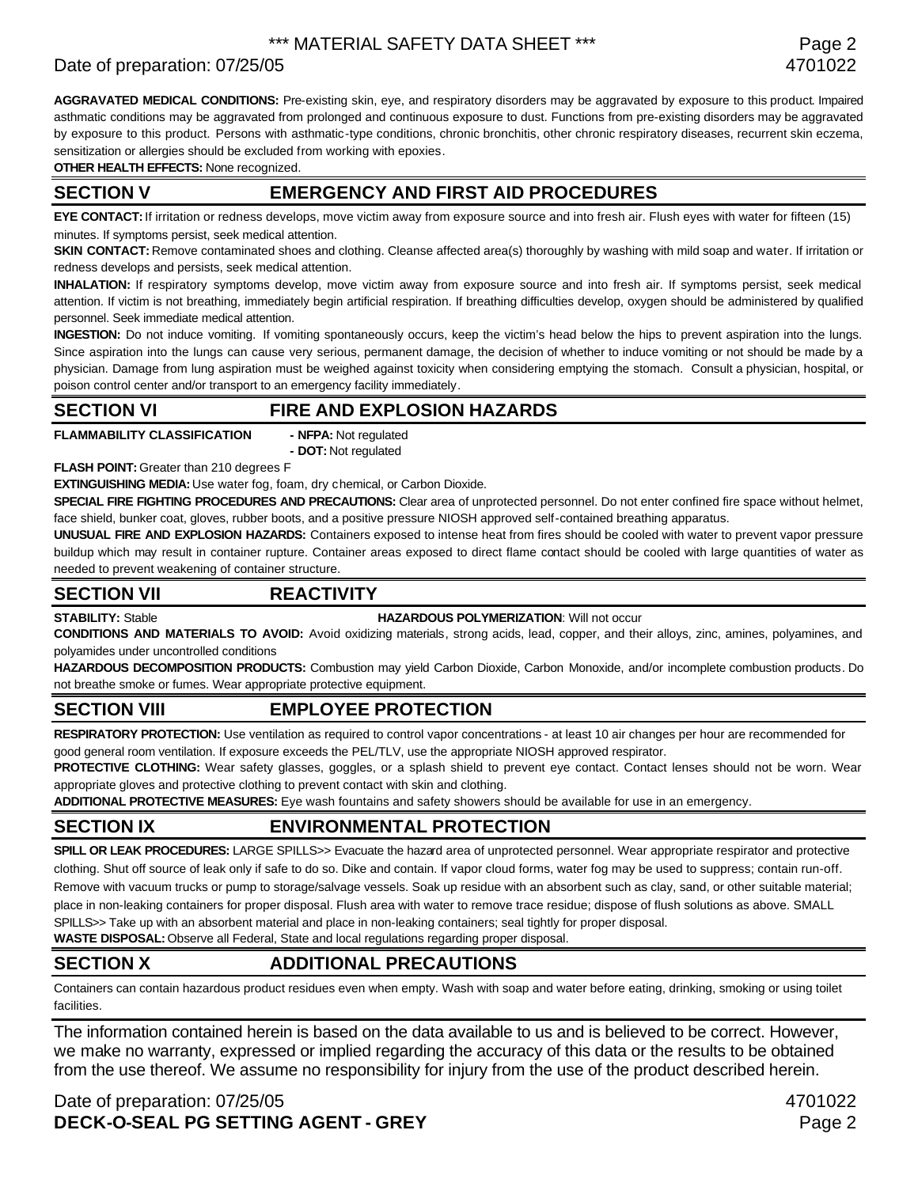# Date of preparation: 07/25/05 4701022

**AGGRAVATED MEDICAL CONDITIONS:** Pre-existing skin, eye, and respiratory disorders may be aggravated by exposure to this product. Impaired asthmatic conditions may be aggravated from prolonged and continuous exposure to dust. Functions from pre-existing disorders may be aggravated by exposure to this product. Persons with asthmatic-type conditions, chronic bronchitis, other chronic respiratory diseases, recurrent skin eczema, sensitization or allergies should be excluded from working with epoxies.

**OTHER HEALTH EFFECTS:** None recognized.

### **SECTION V EMERGENCY AND FIRST AID PROCEDURES**

**EYE CONTACT:** If irritation or redness develops, move victim away from exposure source and into fresh air. Flush eyes with water for fifteen (15) minutes. If symptoms persist, seek medical attention.

**SKIN CONTACT:** Remove contaminated shoes and clothing. Cleanse affected area(s) thoroughly by washing with mild soap and water. If irritation or redness develops and persists, seek medical attention.

**INHALATION:** If respiratory symptoms develop, move victim away from exposure source and into fresh air. If symptoms persist, seek medical attention. If victim is not breathing, immediately begin artificial respiration. If breathing difficulties develop, oxygen should be administered by qualified personnel. Seek immediate medical attention.

**INGESTION:** Do not induce vomiting. If vomiting spontaneously occurs, keep the victim's head below the hips to prevent aspiration into the lungs. Since aspiration into the lungs can cause very serious, permanent damage, the decision of whether to induce vomiting or not should be made by a physician. Damage from lung aspiration must be weighed against toxicity when considering emptying the stomach. Consult a physician, hospital, or poison control center and/or transport to an emergency facility immediately.

### **SECTION VI FIRE AND EXPLOSION HAZARDS**

**FLAMMABILITY CLASSIFICATION - NFPA:** Not regulated

**- DOT:** Not regulated

**FLASH POINT:** Greater than 210 degrees F

**EXTINGUISHING MEDIA:** Use water fog, foam, dry chemical, or Carbon Dioxide.

**SPECIAL FIRE FIGHTING PROCEDURES AND PRECAUTIONS:** Clear area of unprotected personnel. Do not enter confined fire space without helmet, face shield, bunker coat, gloves, rubber boots, and a positive pressure NIOSH approved self-contained breathing apparatus.

**UNUSUAL FIRE AND EXPLOSION HAZARDS:** Containers exposed to intense heat from fires should be cooled with water to prevent vapor pressure buildup which may result in container rupture. Container areas exposed to direct flame contact should be cooled with large quantities of water as needed to prevent weakening of container structure.

### **SECTION VII REACTIVITY**

### **STABILITY:** Stable **HAZARDOUS POLYMERIZATION**: Will not occur

**CONDITIONS AND MATERIALS TO AVOID:** Avoid oxidizing materials, strong acids, lead, copper, and their alloys, zinc, amines, polyamines, and polyamides under uncontrolled conditions

**HAZARDOUS DECOMPOSITION PRODUCTS:** Combustion may yield Carbon Dioxide, Carbon Monoxide, and/or incomplete combustion products. Do not breathe smoke or fumes. Wear appropriate protective equipment.

# **SECTION VIII EMPLOYEE PROTECTION**

**RESPIRATORY PROTECTION:** Use ventilation as required to control vapor concentrations - at least 10 air changes per hour are recommended for good general room ventilation. If exposure exceeds the PEL/TLV, use the appropriate NIOSH approved respirator.

PROTECTIVE CLOTHING: Wear safety glasses, goggles, or a splash shield to prevent eye contact. Contact lenses should not be worn. Wear appropriate gloves and protective clothing to prevent contact with skin and clothing.

**ADDITIONAL PROTECTIVE MEASURES:** Eye wash fountains and safety showers should be available for use in an emergency.

# **SECTION IX ENVIRONMENTAL PROTECTION**

**SPILL OR LEAK PROCEDURES:** LARGE SPILLS>> Evacuate the hazard area of unprotected personnel. Wear appropriate respirator and protective clothing. Shut off source of leak only if safe to do so. Dike and contain. If vapor cloud forms, water fog may be used to suppress; contain run-off. Remove with vacuum trucks or pump to storage/salvage vessels. Soak up residue with an absorbent such as clay, sand, or other suitable material; place in non-leaking containers for proper disposal. Flush area with water to remove trace residue; dispose of flush solutions as above. SMALL SPILLS>> Take up with an absorbent material and place in non-leaking containers; seal tightly for proper disposal.

**WASTE DISPOSAL:** Observe all Federal, State and local regulations regarding proper disposal.

# **SECTION X ADDITIONAL PRECAUTIONS**

Containers can contain hazardous product residues even when empty. Wash with soap and water before eating, drinking, smoking or using toilet facilities.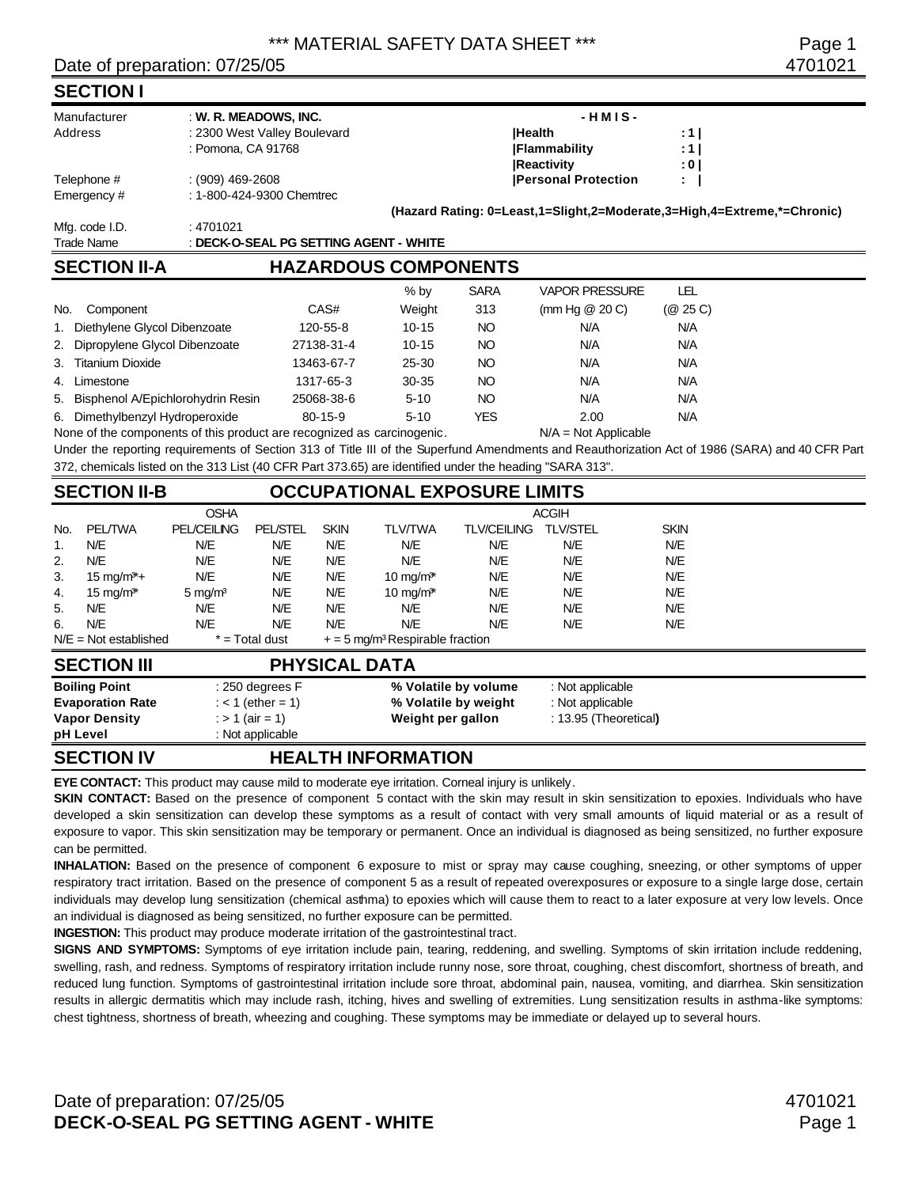### Date of preparation: 07/25/05 4701021

### **SECTION I**

| Manufacturer                    | : W. R. MEADOWS, INC. |                                        |           |             | $-HMIS-$                                                                |          |  |
|---------------------------------|-----------------------|----------------------------------------|-----------|-------------|-------------------------------------------------------------------------|----------|--|
| Address                         |                       | : 2300 West Valley Boulevard           |           |             | <b>Health</b>                                                           | : 1 I    |  |
|                                 | : Pomona, CA 91768    |                                        |           |             | <b>IFlammability</b>                                                    | :11      |  |
|                                 |                       |                                        |           |             | <b>Reactivity</b>                                                       | : 0 I    |  |
| Telephone #                     | $(909)$ 469-2608      |                                        |           |             | <b>Personal Protection</b>                                              | ÷.       |  |
| Emergency #                     |                       | : 1-800-424-9300 Chemtrec              |           |             |                                                                         |          |  |
|                                 |                       |                                        |           |             | (Hazard Rating: 0=Least,1=Slight,2=Moderate,3=High,4=Extreme,*=Chronic) |          |  |
| Mfg. code I.D.                  | : 4701021             |                                        |           |             |                                                                         |          |  |
| <b>Trade Name</b>               |                       | : DECK-O-SEAL PG SETTING AGENT - WHITE |           |             |                                                                         |          |  |
| <b>SECTION II-A</b>             |                       | <b>HAZARDOUS COMPONENTS</b>            |           |             |                                                                         |          |  |
|                                 |                       |                                        | $%$ by    | <b>SARA</b> | <b>VAPOR PRESSURE</b>                                                   | LEL      |  |
| No.<br>Component                |                       | CAS#                                   | Weight    | 313         | (mm Hg $@$ 20 C)                                                        | (@ 25 C) |  |
| 1. Diethylene Glycol Dibenzoate |                       | 120-55-8                               | $10 - 15$ | NO.         | N/A                                                                     | N/A      |  |

| 1. Diethylene Glycol Dibenzoate      | 120-55-8      | $10 - 15$ | NO  | N/A  | N/A |  |
|--------------------------------------|---------------|-----------|-----|------|-----|--|
| 2. Dipropylene Glycol Dibenzoate     | 27138-31-4    | $10 - 15$ | NO  | N/A  | N/A |  |
| 3. Titanium Dioxide                  | 13463-67-7    | 25-30     | NO  | N/A  | N/A |  |
| 4. Limestone                         | 1317-65-3     | 30-35     | NO  | N/A  | N/A |  |
| 5. Bisphenol A/Epichlorohydrin Resin | 25068-38-6    | $5 - 10$  | NO  | N/A  | N/A |  |
| 6. Dimethylbenzyl Hydroperoxide      | $80 - 15 - 9$ | $5 - 10$  | YES | 2.00 | N/A |  |

None of the components of this product are recognized as carcinogenic. N/A = Not Applicable

Under the reporting requirements of Section 313 of Title III of the Superfund Amendments and Reauthorization Act of 1986 (SARA) and 40 CFR Part 372, chemicals listed on the 313 List (40 CFR Part 373.65) are identified under the heading "SARA 313".

# **SECTION II-B OCCUPATIONAL EXPOSURE LIMITS**

|     |                                   | <b>OSHA</b>        |                     |             | <b>ACGIH</b>                                  |                      |                       |             |  |
|-----|-----------------------------------|--------------------|---------------------|-------------|-----------------------------------------------|----------------------|-----------------------|-------------|--|
| No. | <b>PEL/TWA</b>                    | <b>PEL/CEILING</b> | <b>PEL/STEL</b>     | <b>SKIN</b> | <b>TLV/TWA</b>                                | <b>TLV/CEILING</b>   | <b>TLV/STEL</b>       | <b>SKIN</b> |  |
| 1.  | N/E                               | N/E                | N/E                 | N/E         | N/E                                           | N/E                  | N/E                   | N/E         |  |
| 2.  | N/E                               | N/E                | N/E                 | N/E         | N/E                                           | N/E                  | N/E                   | N/E         |  |
| 3.  | $15 \text{ mg/m}^*+$              | N/E                | N/E                 | N/E         | $10 \text{ mg/m}^*$                           | N/E                  | N/E                   | N/E         |  |
| 4.  | 15 mg/m <sup><math>*</math></sup> | 5 mg/ $m3$         | N/E                 | N/E         | $10 \text{ mg/m}^*$                           | N/E                  | N/E                   | N/E         |  |
| 5.  | N/E                               | N/E                | N/E                 | N/E         | N/E                                           | N/E                  | N/E                   | N/E         |  |
| 6.  | N/E                               | N/E                | N/E                 | N/E         | N/E                                           | N/E                  | N/E                   | N/E         |  |
|     | $N/E = Not established$           |                    | $*$ = Total dust    |             | $+ = 5$ mg/m <sup>3</sup> Respirable fraction |                      |                       |             |  |
|     | <b>SECTION III</b>                |                    |                     |             | <b>PHYSICAL DATA</b>                          |                      |                       |             |  |
|     | <b>Boiling Point</b>              |                    | $: 250$ degrees F   |             |                                               | % Volatile by volume | : Not applicable      |             |  |
|     | <b>Evaporation Rate</b>           |                    | : $<$ 1 (ether = 1) |             |                                               | % Volatile by weight | : Not applicable      |             |  |
|     | <b>Vapor Density</b>              |                    | : $> 1$ (air = 1)   |             | Weight per gallon                             |                      | : 13.95 (Theoretical) |             |  |
|     | pH Level                          |                    | : Not applicable    |             |                                               |                      |                       |             |  |

# **SECTION IV HEALTH INFORMATION**

**EYE CONTACT:** This product may cause mild to moderate eye irritation. Corneal injury is unlikely.

**SKIN CONTACT:** Based on the presence of component 5 contact with the skin may result in skin sensitization to epoxies. Individuals who have developed a skin sensitization can develop these symptoms as a result of contact with very small amounts of liquid material or as a result of exposure to vapor. This skin sensitization may be temporary or permanent. Once an individual is diagnosed as being sensitized, no further exposure can be permitted.

**INHALATION:** Based on the presence of component 6 exposure to mist or spray may cause coughing, sneezing, or other symptoms of upper respiratory tract irritation. Based on the presence of component 5 as a result of repeated overexposures or exposure to a single large dose, certain individuals may develop lung sensitization (chemical asthma) to epoxies which will cause them to react to a later exposure at very low levels. Once an individual is diagnosed as being sensitized, no further exposure can be permitted.

**INGESTION:** This product may produce moderate irritation of the gastrointestinal tract.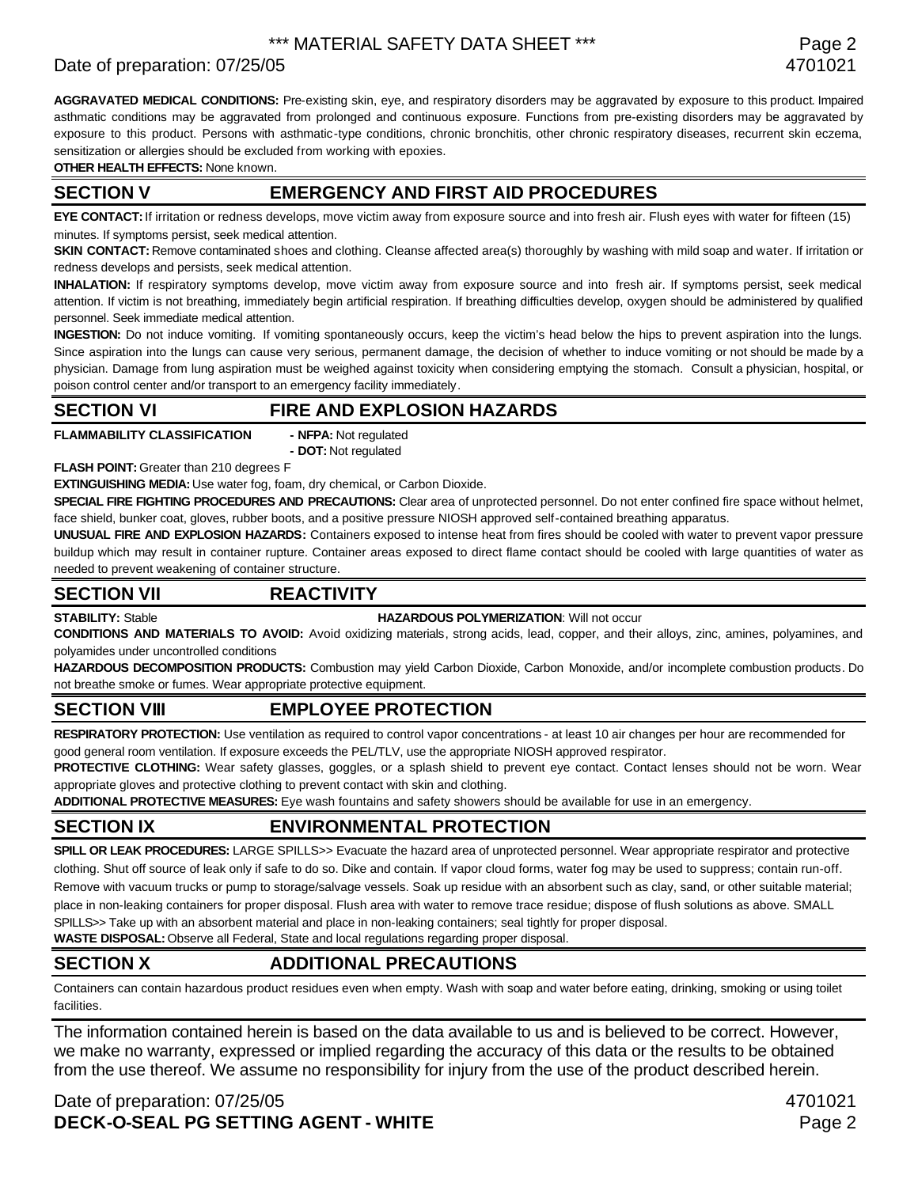# Date of preparation: 07/25/05 4701021

**AGGRAVATED MEDICAL CONDITIONS:** Pre-existing skin, eye, and respiratory disorders may be aggravated by exposure to this product. Impaired asthmatic conditions may be aggravated from prolonged and continuous exposure. Functions from pre-existing disorders may be aggravated by exposure to this product. Persons with asthmatic-type conditions, chronic bronchitis, other chronic respiratory diseases, recurrent skin eczema, sensitization or allergies should be excluded from working with epoxies.

**OTHER HEALTH EFFECTS:** None known.

### **SECTION V EMERGENCY AND FIRST AID PROCEDURES**

**EYE CONTACT:** If irritation or redness develops, move victim away from exposure source and into fresh air. Flush eyes with water for fifteen (15) minutes. If symptoms persist, seek medical attention.

**SKIN CONTACT:** Remove contaminated shoes and clothing. Cleanse affected area(s) thoroughly by washing with mild soap and water. If irritation or redness develops and persists, seek medical attention.

**INHALATION:** If respiratory symptoms develop, move victim away from exposure source and into fresh air. If symptoms persist, seek medical attention. If victim is not breathing, immediately begin artificial respiration. If breathing difficulties develop, oxygen should be administered by qualified personnel. Seek immediate medical attention.

**INGESTION:** Do not induce vomiting. If vomiting spontaneously occurs, keep the victim's head below the hips to prevent aspiration into the lungs. Since aspiration into the lungs can cause very serious, permanent damage, the decision of whether to induce vomiting or not should be made by a physician. Damage from lung aspiration must be weighed against toxicity when considering emptying the stomach. Consult a physician, hospital, or poison control center and/or transport to an emergency facility immediately.

### **SECTION VI FIRE AND EXPLOSION HAZARDS**

**FLAMMABILITY CLASSIFICATION - NFPA:** Not regulated

**- DOT:** Not regulated

**FLASH POINT:** Greater than 210 degrees F

**EXTINGUISHING MEDIA:** Use water fog, foam, dry chemical, or Carbon Dioxide.

**SPECIAL FIRE FIGHTING PROCEDURES AND PRECAUTIONS:** Clear area of unprotected personnel. Do not enter confined fire space without helmet, face shield, bunker coat, gloves, rubber boots, and a positive pressure NIOSH approved self-contained breathing apparatus.

**UNUSUAL FIRE AND EXPLOSION HAZARDS:** Containers exposed to intense heat from fires should be cooled with water to prevent vapor pressure buildup which may result in container rupture. Container areas exposed to direct flame contact should be cooled with large quantities of water as needed to prevent weakening of container structure.

### **SECTION VII REACTIVITY**

**STABILITY:** Stable **HAZARDOUS POLYMERIZATION**: Will not occur

**CONDITIONS AND MATERIALS TO AVOID:** Avoid oxidizing materials, strong acids, lead, copper, and their alloys, zinc, amines, polyamines, and polyamides under uncontrolled conditions

**HAZARDOUS DECOMPOSITION PRODUCTS:** Combustion may yield Carbon Dioxide, Carbon Monoxide, and/or incomplete combustion products. Do not breathe smoke or fumes. Wear appropriate protective equipment.

# **SECTION VIII EMPLOYEE PROTECTION**

**RESPIRATORY PROTECTION:** Use ventilation as required to control vapor concentrations - at least 10 air changes per hour are recommended for good general room ventilation. If exposure exceeds the PEL/TLV, use the appropriate NIOSH approved respirator.

PROTECTIVE CLOTHING: Wear safety glasses, goggles, or a splash shield to prevent eye contact. Contact lenses should not be worn. Wear appropriate gloves and protective clothing to prevent contact with skin and clothing.

**ADDITIONAL PROTECTIVE MEASURES:** Eye wash fountains and safety showers should be available for use in an emergency.

# **SECTION IX ENVIRONMENTAL PROTECTION**

**SPILL OR LEAK PROCEDURES:** LARGE SPILLS>> Evacuate the hazard area of unprotected personnel. Wear appropriate respirator and protective clothing. Shut off source of leak only if safe to do so. Dike and contain. If vapor cloud forms, water fog may be used to suppress; contain run-off. Remove with vacuum trucks or pump to storage/salvage vessels. Soak up residue with an absorbent such as clay, sand, or other suitable material; place in non-leaking containers for proper disposal. Flush area with water to remove trace residue; dispose of flush solutions as above. SMALL SPILLS>> Take up with an absorbent material and place in non-leaking containers; seal tightly for proper disposal.

**WASTE DISPOSAL:** Observe all Federal, State and local regulations regarding proper disposal.

# **SECTION X ADDITIONAL PRECAUTIONS**

Containers can contain hazardous product residues even when empty. Wash with soap and water before eating, drinking, smoking or using toilet facilities.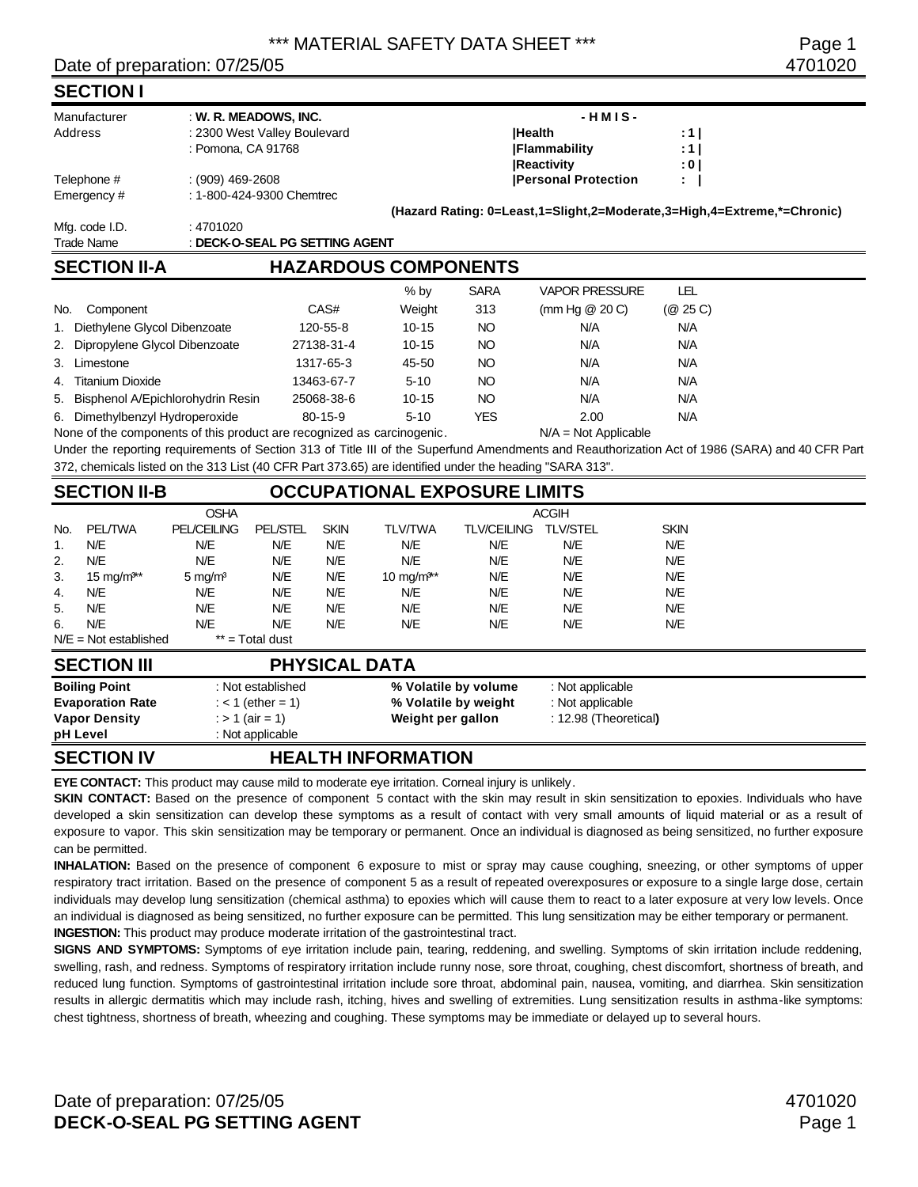### Date of preparation: 07/25/05 4701020

### **SECTION I**

| ---------         | .                              |                                                                         |       |  |  |
|-------------------|--------------------------------|-------------------------------------------------------------------------|-------|--|--|
| <b>Trade Name</b> | : DECK-O-SEAL PG SETTING AGENT |                                                                         |       |  |  |
| Mfg. code I.D.    | : 4701020                      |                                                                         |       |  |  |
|                   |                                | (Hazard Rating: 0=Least,1=Slight,2=Moderate,3=High,4=Extreme,*=Chronic) |       |  |  |
| Emergency #       | : 1-800-424-9300 Chemtrec      |                                                                         |       |  |  |
| Telephone #       | $(909)$ 469-2608               | <b>Personal Protection</b>                                              | ÷.    |  |  |
|                   |                                | <b>Reactivity</b>                                                       | : 0 I |  |  |
|                   | : Pomona, CA 91768             | <b> Flammability</b>                                                    | :1 I  |  |  |
| Address           | : 2300 West Valley Boulevard   | <b>IHealth</b>                                                          | :1 I  |  |  |
| Manufacturer      | : W. R. MEADOWS, INC.          | $-HMIS -$                                                               |       |  |  |
|                   |                                |                                                                         |       |  |  |

# **SECTION II-A HAZARDOUS COMPONENTS**

|                                                                        |               | $%$ by    | <b>SARA</b> | <b>VAPOR PRESSURE</b>  | LEL      |
|------------------------------------------------------------------------|---------------|-----------|-------------|------------------------|----------|
| No.<br>Component                                                       | CAS#          | Weight    | 313         | (mm Hg $@$ 20 C)       | (@ 25 C) |
| 1. Diethylene Glycol Dibenzoate                                        | 120-55-8      | $10 - 15$ | NO          | N/A                    | N/A      |
| 2. Dipropylene Glycol Dibenzoate                                       | 27138-31-4    | $10 - 15$ | NO          | N/A                    | N/A      |
| 3. Limestone                                                           | 1317-65-3     | 45-50     | NO          | N/A                    | N/A      |
| 4. Titanium Dioxide                                                    | 13463-67-7    | $5 - 10$  | NO          | N/A                    | N/A      |
| 5. Bisphenol A/Epichlorohydrin Resin                                   | 25068-38-6    | $10 - 15$ | NO          | N/A                    | N/A      |
| 6. Dimethylbenzyl Hydroperoxide                                        | $80 - 15 - 9$ | $5 - 10$  | YES         | 2.00                   | N/A      |
| None of the components of this product are recognized as carcinogenic. |               |           |             | $N/A = Not Applicable$ |          |

Under the reporting requirements of Section 313 of Title III of the Superfund Amendments and Reauthorization Act of 1986 (SARA) and 40 CFR Part 372, chemicals listed on the 313 List (40 CFR Part 373.65) are identified under the heading "SARA 313".

# **SECTION II-B OCCUPATIONAL EXPOSURE LIMITS**

|                  | <b>Boiling Point</b>    |                    | : Not established |             |                        | % Volatile by volume | : Not applicable |             |  |
|------------------|-------------------------|--------------------|-------------------|-------------|------------------------|----------------------|------------------|-------------|--|
|                  | <b>SECTION III</b>      |                    |                   |             | <b>PHYSICAL DATA</b>   |                      |                  |             |  |
|                  | $N/E = Not established$ |                    | $**$ = Total dust |             |                        |                      |                  |             |  |
| 6.               | N/E                     | N/E                | N/E               | N/E         | N/E                    | N/E                  | N/E              | N/E         |  |
| 5.               | N/E                     | N/E                | N/E               | N/E         | N/E                    | N/E                  | N/E              | N/E         |  |
| 4.               | N/E                     | N/E                | N/E               | N/E         | N/E                    | N/E                  | N/E              | N/E         |  |
| 3.               | 15 mg/m <sup>3**</sup>  | $5 \text{ mg/m}^3$ | N/E               | N/E         | 10 mg/m <sup>3**</sup> | N/E                  | N/E              | N/E         |  |
| 2.               | N/E                     | N/E                | N/E               | N/E         | N/E                    | N/E                  | N/E              | N/E         |  |
| $\overline{1}$ . | N/E                     | N/E                | N/E               | N/E         | N/E                    | N/E                  | N/E              | N/E         |  |
| No.              | <b>PEL/TWA</b>          | <b>PEL/CEILING</b> | <b>PEL/STEL</b>   | <b>SKIN</b> | <b>TLV/TWA</b>         | <b>TLV/CEILING</b>   | <b>TLV/STEL</b>  | <b>SKIN</b> |  |
|                  |                         | <b>OSHA</b>        |                   |             |                        |                      | <b>ACGIH</b>     |             |  |

| <b>Boiling Point</b>    | : Not established | % Volatile by volume | : Not applicable      |
|-------------------------|-------------------|----------------------|-----------------------|
| <b>Evaporation Rate</b> | : < 1 (ether = 1) | % Volatile by weight | : Not applicable      |
| <b>Vapor Density</b>    | : > 1 (air = 1)   | Weight per gallon    | : 12.98 (Theoretical) |
| pH Level                | : Not applicable  |                      |                       |

# **SECTION IV HEALTH INFORMATION**

**EYE CONTACT:** This product may cause mild to moderate eye irritation. Corneal injury is unlikely.

**SKIN CONTACT:** Based on the presence of component 5 contact with the skin may result in skin sensitization to epoxies. Individuals who have developed a skin sensitization can develop these symptoms as a result of contact with very small amounts of liquid material or as a result of exposure to vapor. This skin sensitization may be temporary or permanent. Once an individual is diagnosed as being sensitized, no further exposure can be permitted.

**INHALATION:** Based on the presence of component 6 exposure to mist or spray may cause coughing, sneezing, or other symptoms of upper respiratory tract irritation. Based on the presence of component 5 as a result of repeated overexposures or exposure to a single large dose, certain individuals may develop lung sensitization (chemical asthma) to epoxies which will cause them to react to a later exposure at very low levels. Once an individual is diagnosed as being sensitized, no further exposure can be permitted. This lung sensitization may be either temporary or permanent. **INGESTION:** This product may produce moderate irritation of the gastrointestinal tract.